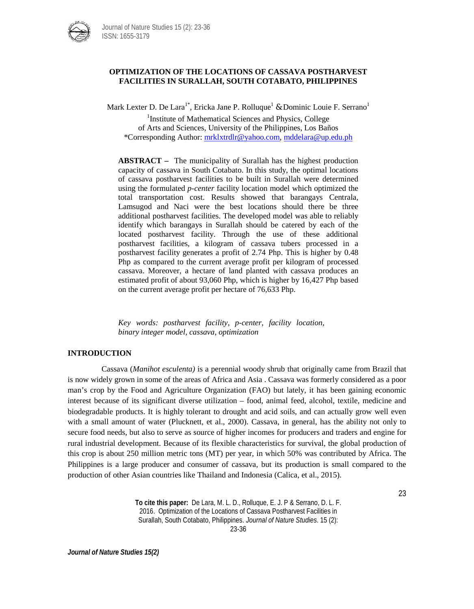

## **OPTIMIZATION OF THE LOCATIONS OF CASSAVA POSTHARVEST FACILITIES IN SURALLAH, SOUTH COTABATO, PHILIPPINES**

Mark Lexter D. De Lara<sup>1\*</sup>, Ericka Jane P. Rolluque<sup>1</sup> & Dominic Louie F. Serrano<sup>1</sup>

<sup>1</sup>Institute of Mathematical Sciences and Physics, College of Arts and Sciences, University of the Philippines, Los Baños \*Corresponding Author[: mrklxtrdlr@yahoo.com](mailto:mrklxtrdlr@yahoo.com)*,* mddelara@up.edu.ph

**ABSTRACT –** The municipality of Surallah has the highest production capacity of cassava in South Cotabato. In this study, the optimal locations of cassava postharvest facilities to be built in Surallah were determined using the formulated *p-center* facility location model which optimized the total transportation cost. Results showed that barangays Centrala, Lamsugod and Naci were the best locations should there be three additional postharvest facilities. The developed model was able to reliably identify which barangays in Surallah should be catered by each of the located postharvest facility. Through the use of these additional postharvest facilities, a kilogram of cassava tubers processed in a postharvest facility generates a profit of 2.74 Php. This is higher by 0.48 Php as compared to the current average profit per kilogram of processed cassava. Moreover, a hectare of land planted with cassava produces an estimated profit of about 93,060 Php, which is higher by 16,427 Php based on the current average profit per hectare of 76,633 Php.

*Key words: postharvest facility, p-center, facility location, binary integer model, cassava, optimization*

# **INTRODUCTION**

Cassava (*Manihot esculenta)* is a perennial woody shrub that originally came from Brazil that is now widely grown in some of the areas of Africa and Asia . Cassava was formerly considered as a poor man's crop by the Food and Agriculture Organization (FAO) but lately, it has been gaining economic interest because of its significant diverse utilization – food, animal feed, alcohol, textile, medicine and biodegradable products. It is highly tolerant to drought and acid soils, and can actually grow well even with a small amount of water (Plucknett, et al., 2000). Cassava, in general, has the ability not only to secure food needs, but also to serve as source of higher incomes for producers and traders and engine for rural industrial development. Because of its flexible characteristics for survival, the global production of this crop is about 250 million metric tons (MT) per year, in which 50% was contributed by Africa. The Philippines is a large producer and consumer of cassava, but its production is small compared to the production of other Asian countries like Thailand and Indonesia (Calica, et al., 2015).

> **To cite this paper:** De Lara, M. L. D., Rolluque, E. J. P & Serrano, D. L. F. 2016. Optimization of the Locations of Cassava Postharvest Facilities in Surallah, South Cotabato, Philippines. *Journal of Nature Studies*. 15 (2):

23

23-36

*Journal of Nature Studies 15(2)*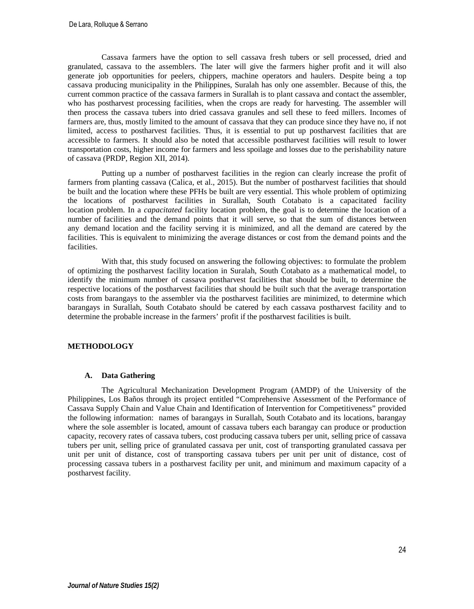Cassava farmers have the option to sell cassava fresh tubers or sell processed, dried and granulated, cassava to the assemblers. The later will give the farmers higher profit and it will also generate job opportunities for peelers, chippers, machine operators and haulers. Despite being a top cassava producing municipality in the Philippines, Suralah has only one assembler. Because of this, the current common practice of the cassava farmers in Surallah is to plant cassava and contact the assembler, who has postharvest processing facilities, when the crops are ready for harvesting. The assembler will then process the cassava tubers into dried cassava granules and sell these to feed millers. Incomes of farmers are, thus, mostly limited to the amount of cassava that they can produce since they have no, if not limited, access to postharvest facilities. Thus, it is essential to put up postharvest facilities that are accessible to farmers. It should also be noted that accessible postharvest facilities will result to lower transportation costs, higher income for farmers and less spoilage and losses due to the perishability nature of cassava (PRDP, Region XII, 2014).

Putting up a number of postharvest facilities in the region can clearly increase the profit of farmers from planting cassava (Calica, et al., 2015). But the number of postharvest facilities that should be built and the location where these PFHs be built are very essential. This whole problem of optimizing the locations of postharvest facilities in Surallah, South Cotabato is a capacitated facility location problem. In a *capacitated* facility location problem, the goal is to determine the location of a number of facilities and the demand points that it will serve, so that the sum of distances between any demand location and the facility serving it is minimized, and all the demand are catered by the facilities. This is equivalent to minimizing the average distances or cost from the demand points and the facilities.

With that, this study focused on answering the following objectives: to formulate the problem of optimizing the postharvest facility location in Suralah, South Cotabato as a mathematical model, to identify the minimum number of cassava postharvest facilities that should be built, to determine the respective locations of the postharvest facilities that should be built such that the average transportation costs from barangays to the assembler via the postharvest facilities are minimized, to determine which barangays in Surallah, South Cotabato should be catered by each cassava postharvest facility and to determine the probable increase in the farmers' profit if the postharvest facilities is built.

## **METHODOLOGY**

## **A. Data Gathering**

The Agricultural Mechanization Development Program (AMDP) of the University of the Philippines, Los Baños through its project entitled "Comprehensive Assessment of the Performance of Cassava Supply Chain and Value Chain and Identification of Intervention for Competitiveness" provided the following information: names of barangays in Surallah, South Cotabato and its locations, barangay where the sole assembler is located, amount of cassava tubers each barangay can produce or production capacity, recovery rates of cassava tubers, cost producing cassava tubers per unit, selling price of cassava tubers per unit, selling price of granulated cassava per unit, cost of transporting granulated cassava per unit per unit of distance, cost of transporting cassava tubers per unit per unit of distance, cost of processing cassava tubers in a postharvest facility per unit, and minimum and maximum capacity of a postharvest facility.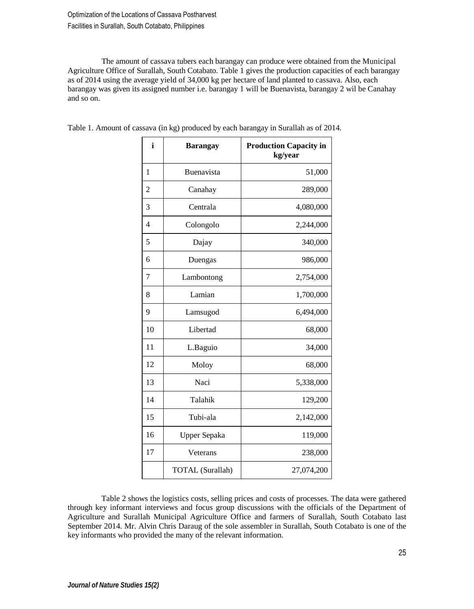Optimization of the Locations of Cassava Postharvest Facilities in Surallah, South Cotabato, Philippines

The amount of cassava tubers each barangay can produce were obtained from the Municipal Agriculture Office of Surallah, South Cotabato. Table 1 gives the production capacities of each barangay as of 2014 using the average yield of 34,000 kg per hectare of land planted to cassava. Also, each barangay was given its assigned number i.e. barangay 1 will be Buenavista, barangay 2 wil be Canahay and so on.

| i              | <b>Barangay</b>         | <b>Production Capacity in</b><br>kg/year |
|----------------|-------------------------|------------------------------------------|
| 1              | Buenavista              | 51,000                                   |
| $\overline{2}$ | Canahay                 | 289,000                                  |
| 3              | Centrala                | 4,080,000                                |
| $\overline{4}$ | Colongolo               | 2,244,000                                |
| 5              | Dajay                   | 340,000                                  |
| 6              | Duengas                 | 986,000                                  |
| 7              | Lambontong              | 2,754,000                                |
| 8              | Lamian                  | 1,700,000                                |
| 9              | Lamsugod                | 6,494,000                                |
| 10             | Libertad                | 68,000                                   |
| 11             | L.Baguio                | 34,000                                   |
| 12             | Moloy                   | 68,000                                   |
| 13             | Naci                    | 5,338,000                                |
| 14             | Talahik                 | 129,200                                  |
| 15             | Tubi-ala                | 2,142,000                                |
| 16             | Upper Sepaka            | 119,000                                  |
| 17             | Veterans                | 238,000                                  |
|                | <b>TOTAL</b> (Surallah) | 27,074,200                               |

Table 1. Amount of cassava (in kg) produced by each barangay in Surallah as of 2014.

Table 2 shows the logistics costs, selling prices and costs of processes. The data were gathered through key informant interviews and focus group discussions with the officials of the Department of Agriculture and Surallah Municipal Agriculture Office and farmers of Surallah, South Cotabato last September 2014. Mr. Alvin Chris Daraug of the sole assembler in Surallah, South Cotabato is one of the key informants who provided the many of the relevant information.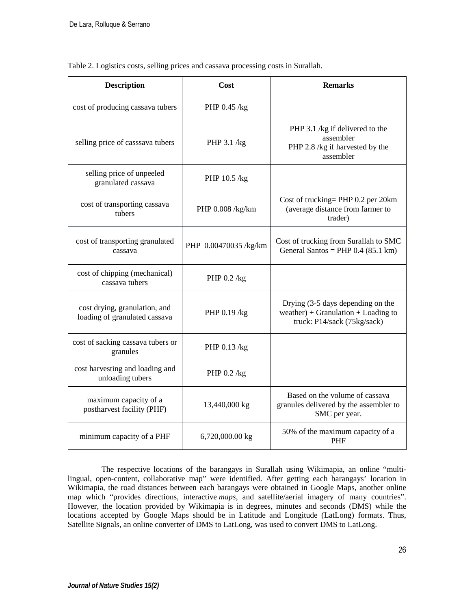| <b>Description</b>                                             | Cost                  | <b>Remarks</b>                                                                                          |  |
|----------------------------------------------------------------|-----------------------|---------------------------------------------------------------------------------------------------------|--|
| cost of producing cassava tubers                               | PHP 0.45 /kg          |                                                                                                         |  |
| selling price of casssava tubers                               | PHP $3.1$ /kg         | PHP 3.1 /kg if delivered to the<br>assembler<br>PHP 2.8 /kg if harvested by the<br>assembler            |  |
| selling price of unpeeled<br>granulated cassava                | PHP 10.5 /kg          |                                                                                                         |  |
| cost of transporting cassava<br>tubers                         | PHP 0.008 /kg/km      | Cost of trucking= PHP 0.2 per 20km<br>(average distance from farmer to<br>trader)                       |  |
| cost of transporting granulated<br>cassava                     | PHP 0.00470035 /kg/km | Cost of trucking from Surallah to SMC<br>General Santos = PHP $0.4$ (85.1 km)                           |  |
| cost of chipping (mechanical)<br>cassava tubers                | PHP 0.2 /kg           |                                                                                                         |  |
| cost drying, granulation, and<br>loading of granulated cassava | PHP $0.19$ /kg        | Drying (3-5 days depending on the<br>weather) + Granulation + Loading to<br>truck: P14/sack (75kg/sack) |  |
| cost of sacking cassava tubers or<br>granules                  | PHP 0.13 /kg          |                                                                                                         |  |
| cost harvesting and loading and<br>unloading tubers            | PHP $0.2$ /kg         |                                                                                                         |  |
| maximum capacity of a<br>postharvest facility (PHF)            | 13,440,000 kg         | Based on the volume of cassava<br>granules delivered by the assembler to<br>SMC per year.               |  |
| minimum capacity of a PHF                                      | 6,720,000.00 kg       | 50% of the maximum capacity of a<br><b>PHF</b>                                                          |  |

Table 2. Logistics costs, selling prices and cassava processing costs in Surallah.

The respective locations of the barangays in Surallah using Wikimapia, an online "multilingual, open-content, collaborative map" were identified. After getting each barangays' location in Wikimapia, the road distances between each barangays were obtained in Google Maps, another online map which "provides directions, interactive *maps*, and satellite/aerial imagery of many countries". However, the location provided by Wikimapia is in degrees, minutes and seconds (DMS) while the locations accepted by Google Maps should be in Latitude and Longitude (LatLong) formats. Thus, Satellite Signals, an online converter of DMS to LatLong, was used to convert DMS to LatLong.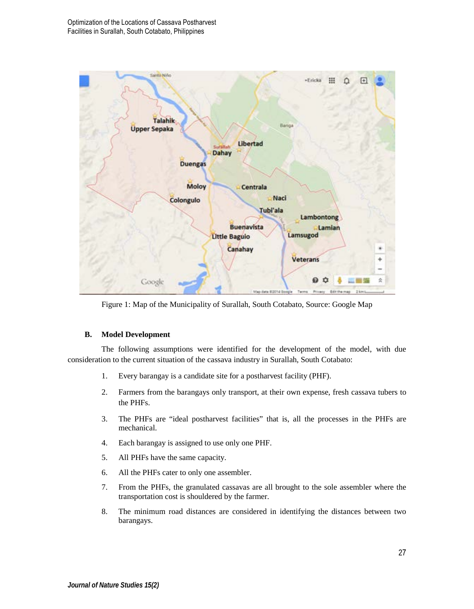

Figure 1: Map of the Municipality of Surallah, South Cotabato, Source: Google Map

## **B. Model Development**

The following assumptions were identified for the development of the model, with due consideration to the current situation of the cassava industry in Surallah, South Cotabato:

- 1. Every barangay is a candidate site for a postharvest facility (PHF).
- 2. Farmers from the barangays only transport, at their own expense, fresh cassava tubers to the PHFs.
- 3. The PHFs are "ideal postharvest facilities" that is, all the processes in the PHFs are mechanical.
- 4. Each barangay is assigned to use only one PHF.
- 5. All PHFs have the same capacity.
- 6. All the PHFs cater to only one assembler.
- 7. From the PHFs, the granulated cassavas are all brought to the sole assembler where the transportation cost is shouldered by the farmer.
- 8. The minimum road distances are considered in identifying the distances between two barangays.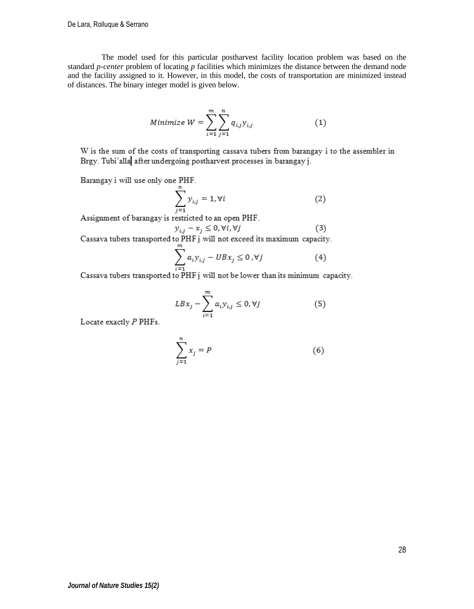The model used for this particular postharvest facility location problem was based on the standard *p-center* problem of locating *p* facilities which minimizes the distance between the demand node and the facility assigned to it. However, in this model, the costs of transportation are minimized instead of distances. The binary integer model is given below.

Minimize 
$$
W = \sum_{i=1}^{m} \sum_{j=1}^{n} q_{i,j} y_{i,j}
$$
 (1)

W is the sum of the costs of transporting cassava tubers from barangay i to the assembler in Brgy. Tubi'alla after undergoing postharvest processes in barangay j.

Barangay i will use only one PHF.

$$
\sum_{j=1}^{n} y_{i,j} = 1, \forall i
$$
 (2)

Assignment of barangay is restricted to an open PHF.

$$
i - x_i \leq 0, \forall i, \forall j \tag{3}
$$

 $y_{i,j} - x_j \le 0$ ,  $\forall i$ ,  $\forall j$  (3)<br>Cassava tubers transported to PHF j will not exceed its maximum capacity.

$$
\sum_{i=1}^{m} a_i y_{i,j} - U B x_j \le 0, \forall j
$$
 (4)

 $i=1$ <br>Cassava tubers transported to PHF j will not be lower than its minimum capacity.

$$
LBx_j - \sum_{i=1}^{m} a_i y_{i,j} \le 0, \forall j
$$
 (5)

Locate exactly P PHFs.

$$
\sum_{j=1}^{n} x_j = P \tag{6}
$$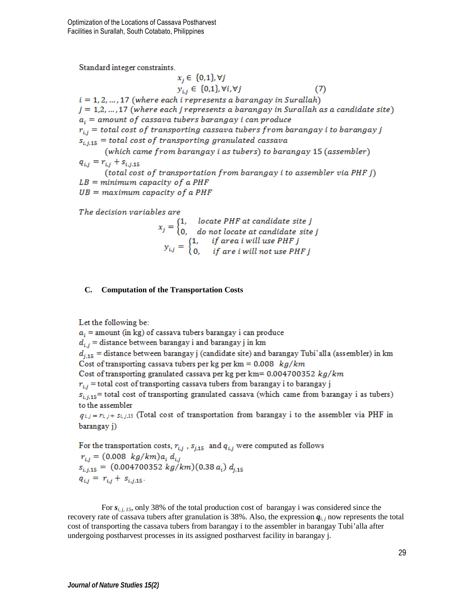Standard integer constraints.

 $x_i \in \{0,1\}, \forall j$  $y_{i,i} \in \{0,1\}$ ,  $\forall i, \forall j$  $(7)$  $i = 1, 2, ..., 17$  (where each i represents a barangay in Surallah)  $j = 1, 2, ..., 17$  (where each j represents a barangay in Surallah as a candidate site)  $a_i$  = amount of cassava tubers barangay i can produce  $r_{i,i}$  = total cost of transporting cassava tubers from barangay i to barangay j  $s_{i,i,15}$  = total cost of transporting granulated cassava (which came from barangay i as tubers) to barangay 15 (assembler)  $q_{i,j} = r_{i,j} + s_{i,j,15}$ (total cost of transportation from barangay i to assembler via PHF j)  $LB = minimum$  capacity of a PHF  $UB = maximum$  capacity of a PHF

The decision variables are

$$
x_j = \begin{cases} 1, & \text{locate PHF at candidate site } j \\ 0, & \text{do not locate at candidate site } j \end{cases}
$$

$$
y_{i,j} = \begin{cases} 1, & \text{if area i will use PHF } j \\ 0, & \text{if are } i \text{ will not use PHF } j \end{cases}
$$

# **C. Computation of the Transportation Costs**

Let the following be:

 $a_i$  = amount (in kg) of cassava tubers barangay i can produce  $d_{i,j}$  = distance between barangay i and barangay j in km  $d_{i,15}$  = distance between barangay j (candidate site) and barangay Tubi'alla (assembler) in km Cost of transporting cassava tubers per kg per km =  $0.008$  kg/km Cost of transporting granulated cassava per kg per km =  $0.004700352 kg/km$  $r_{i,i}$  = total cost of transporting cassava tubers from barangay i to barangay j  $s_{i,i,15}$  = total cost of transporting granulated cassava (which came from barangay i as tubers) to the assembler  $q_{i,j} = r_{i,j} + s_{i,j,15}$  (Total cost of transportation from barangay i to the assembler via PHF in barangay j)

For the transportation costs,  $r_{i,j}$ ,  $s_{j,15}$  and  $q_{i,j}$  were computed as follows  $r_{i,i} = (0.008 \ kg/km) a_i d_{i,i}$  $s_{i,i,15} = (0.004700352 kg/km)(0.38 a_i) d_{i,15}$  $q_{i,j} = r_{i,j} + s_{i,j,15}$ .

For  $s_{i,j}$ ,  $j$ , only 38% of the total production cost of barangay i was considered since the recovery rate of cassava tubers after granulation is 38%. Also, the expression  $q_i$  *j* now represents the total cost of transporting the cassava tubers from barangay i to the assembler in barangay Tubi'alla after undergoing postharvest processes in its assigned postharvest facility in barangay j.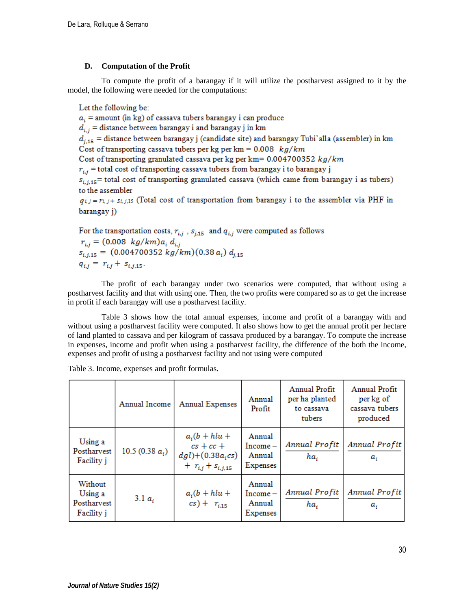# **D. Computation of the Profit**

To compute the profit of a barangay if it will utilize the postharvest assigned to it by the model, the following were needed for the computations:

Let the following be:

 $a_i$  = amount (in kg) of cassava tubers barangay i can produce  $d_{i,j}$  = distance between barangay i and barangay j in km  $d_{i,15}$  = distance between barangay j (candidate site) and barangay Tubi'alla (assembler) in km Cost of transporting cassava tubers per kg per km =  $0.008$  kg/km Cost of transporting granulated cassava per kg per km =  $0.004700352$  kg/km  $r_{i,i}$  = total cost of transporting cassava tubers from barangay i to barangay j  $s_{i,j,15}$  = total cost of transporting granulated cassava (which came from barangay i as tubers) to the assembler  $q_{i,j} = r_{i,j} + s_{i,j,15}$  (Total cost of transportation from barangay i to the assembler via PHF in barangay j)

For the transportation costs,  $r_{i,j}$ ,  $s_{j,15}$  and  $q_{i,j}$  were computed as follows  $r_{i,j} = (0.008 \ kg/km) a_i d_{i,j}$  $s_{i,j,15} = (0.004700352 kg/km)(0.38 a_i) d_{i,15}$  $q_{i,j} = r_{i,j} + s_{i,j,15}$ .

The profit of each barangay under two scenarios were computed, that without using a postharvest facility and that with using one. Then, the two profits were compared so as to get the increase in profit if each barangay will use a postharvest facility.

Table 3 shows how the total annual expenses, income and profit of a barangay with and without using a postharvest facility were computed. It also shows how to get the annual profit per hectare of land planted to cassava and per kilogram of cassava produced by a barangay. To compute the increase in expenses, income and profit when using a postharvest facility, the difference of the both the income, expenses and profit of using a postharvest facility and not using were computed

|                                                 | Annual Income      | <b>Annual Expenses</b>                                                              | Annual<br>Profit                          | Annual Profit<br>per ha planted<br>to cassava<br>tubers | Annual Profit<br>per kg of<br>cassava tubers<br>produced |
|-------------------------------------------------|--------------------|-------------------------------------------------------------------------------------|-------------------------------------------|---------------------------------------------------------|----------------------------------------------------------|
| Using a<br>Postharvest<br>Facility i            | 10.5 (0.38 $a_i$ ) | $a_i(b + hlu +$<br>$cs + cc +$<br>$dg(l)+(0.38a_{i}cs)$<br>$+ r_{i,j} + s_{i,j,15}$ | Annual<br>$Income-$<br>Annual<br>Expenses | Annual Profit<br>ha,                                    | Annual Profit<br>a,                                      |
| Without<br>Using a<br>Postharvest<br>Facility i | 3.1 $a_i$          | $a_i(b + hlu +$<br>$cs$ + $r_{i,15}$                                                | Annual<br>$Income-$<br>Annual<br>Expenses | Annual Profit<br>ha.                                    | Annual Profit<br>$a_{i}$                                 |

Table 3. Income, expenses and profit formulas.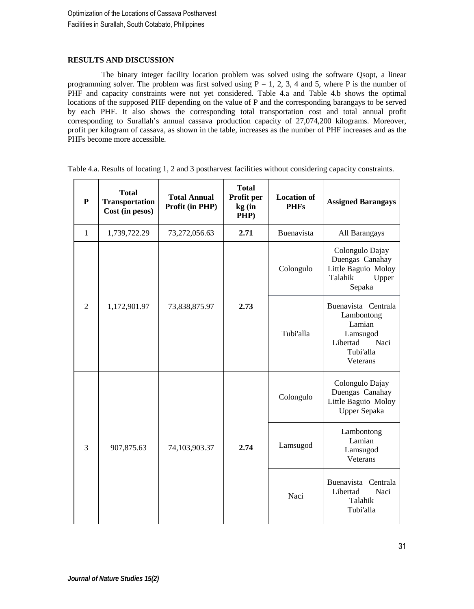# **RESULTS AND DISCUSSION**

The binary integer facility location problem was solved using the software Qsopt, a linear programming solver. The problem was first solved using  $P = 1, 2, 3, 4$  and 5, where P is the number of PHF and capacity constraints were not yet considered. Table 4.a and Table 4.b shows the optimal locations of the supposed PHF depending on the value of P and the corresponding barangays to be served by each PHF. It also shows the corresponding total transportation cost and total annual profit corresponding to Surallah's annual cassava production capacity of 27,074,200 kilograms. Moreover, profit per kilogram of cassava, as shown in the table, increases as the number of PHF increases and as the PHFs become more accessible.

| $\mathbf{P}$   | <b>Total</b><br><b>Transportation</b><br>Cost (in pesos) | <b>Total Annual</b><br>Profit (in PHP) | <b>Total</b><br>Profit per<br>kg (in<br>PHP)                                                         | <b>Location of</b><br><b>PHFs</b> | <b>Assigned Barangays</b>                                                               |
|----------------|----------------------------------------------------------|----------------------------------------|------------------------------------------------------------------------------------------------------|-----------------------------------|-----------------------------------------------------------------------------------------|
| $\mathbf{1}$   | 1,739,722.29                                             | 73,272,056.63                          | 2.71                                                                                                 | Buenavista                        | All Barangays                                                                           |
|                |                                                          |                                        |                                                                                                      | Colongulo                         | Colongulo Dajay<br>Duengas Canahay<br>Little Baguio Moloy<br>Talahik<br>Upper<br>Sepaka |
| $\overline{c}$ | 2.73<br>1,172,901.97<br>73,838,875.97                    | Tubi'alla                              | Buenavista Centrala<br>Lambontong<br>Lamian<br>Lamsugod<br>Naci<br>Libertad<br>Tubi'alla<br>Veterans |                                   |                                                                                         |
|                |                                                          | 74,103,903.37                          | 2.74                                                                                                 | Colongulo                         | Colongulo Dajay<br>Duengas Canahay<br>Little Baguio Moloy<br>Upper Sepaka               |
| 3              | 907,875.63                                               |                                        |                                                                                                      | Lamsugod                          | Lambontong<br>Lamian<br>Lamsugod<br>Veterans                                            |
|                |                                                          |                                        |                                                                                                      | Naci                              | Buenavista<br>Centrala<br>Libertad<br>Naci<br>Talahik<br>Tubi'alla                      |

Table 4.a. Results of locating 1, 2 and 3 postharvest facilities without considering capacity constraints.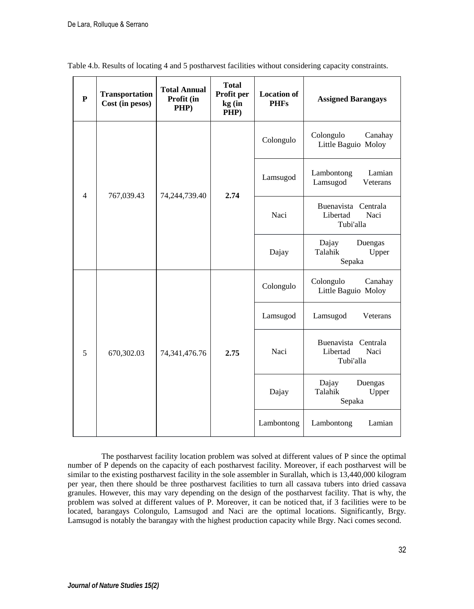|                | $\mathbf{P}$ | <b>Transportation</b><br>Cost (in pesos) | <b>Total Annual</b><br>Profit (in<br>PHP) | <b>Total</b><br>Profit per<br>kg (in<br>PHP) | <b>Location of</b><br><b>PHFs</b>                    | <b>Assigned Barangays</b>                      |
|----------------|--------------|------------------------------------------|-------------------------------------------|----------------------------------------------|------------------------------------------------------|------------------------------------------------|
| $\overline{4}$ |              |                                          |                                           |                                              | Colongulo                                            | Colongulo<br>Canahay<br>Little Baguio Moloy    |
|                | 767,039.43   | 74,244,739.40                            | 2.74                                      | Lamsugod                                     | Lambontong<br>Lamian<br>Lamsugod<br>Veterans         |                                                |
|                |              |                                          |                                           | Naci                                         | Buenavista Centrala<br>Libertad<br>Naci<br>Tubi'alla |                                                |
|                |              |                                          |                                           |                                              | Dajay                                                | Duengas<br>Dajay<br>Talahik<br>Upper<br>Sepaka |
| 5              |              |                                          |                                           |                                              | Colongulo                                            | Colongulo<br>Canahay<br>Little Baguio Moloy    |
|                |              |                                          |                                           |                                              | Lamsugod                                             | Lamsugod<br>Veterans                           |
|                | 670,302.03   | 74, 341, 476. 76                         | 2.75                                      | Naci                                         | Buenavista Centrala<br>Libertad<br>Naci<br>Tubi'alla |                                                |
|                |              |                                          |                                           | Dajay                                        | Dajay<br>Duengas<br>Talahik<br>Upper<br>Sepaka       |                                                |
|                |              |                                          |                                           |                                              | Lambontong                                           | Lambontong<br>Lamian                           |

Table 4.b. Results of locating 4 and 5 postharvest facilities without considering capacity constraints.

The postharvest facility location problem was solved at different values of P since the optimal number of P depends on the capacity of each postharvest facility. Moreover, if each postharvest will be similar to the existing postharvest facility in the sole assembler in Surallah, which is 13,440,000 kilogram per year, then there should be three postharvest facilities to turn all cassava tubers into dried cassava granules. However, this may vary depending on the design of the postharvest facility. That is why, the problem was solved at different values of P. Moreover, it can be noticed that, if 3 facilities were to be located, barangays Colongulo, Lamsugod and Naci are the optimal locations. Significantly, Brgy. Lamsugod is notably the barangay with the highest production capacity while Brgy. Naci comes second.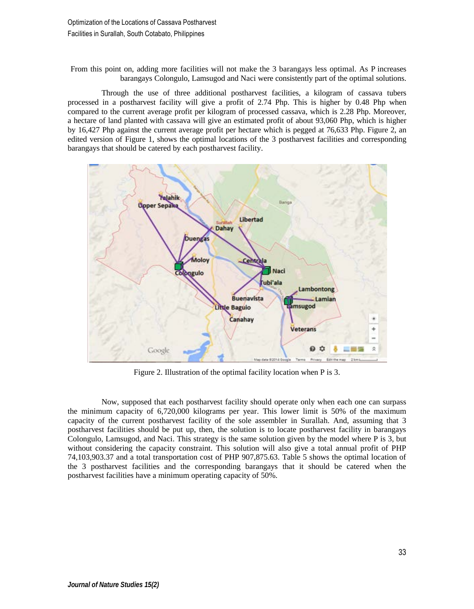From this point on, adding more facilities will not make the 3 barangays less optimal. As P increases barangays Colongulo, Lamsugod and Naci were consistently part of the optimal solutions.

Through the use of three additional postharvest facilities, a kilogram of cassava tubers processed in a postharvest facility will give a profit of 2.74 Php. This is higher by 0.48 Php when compared to the current average profit per kilogram of processed cassava, which is 2.28 Php. Moreover, a hectare of land planted with cassava will give an estimated profit of about 93,060 Php, which is higher by 16,427 Php against the current average profit per hectare which is pegged at 76,633 Php. Figure 2, an edited version of Figure 1, shows the optimal locations of the 3 postharvest facilities and corresponding barangays that should be catered by each postharvest facility.



Figure 2. Illustration of the optimal facility location when P is 3.

Now, supposed that each postharvest facility should operate only when each one can surpass the minimum capacity of 6,720,000 kilograms per year. This lower limit is 50% of the maximum capacity of the current postharvest facility of the sole assembler in Surallah. And, assuming that 3 postharvest facilities should be put up, then, the solution is to locate postharvest facility in barangays Colongulo, Lamsugod, and Naci. This strategy is the same solution given by the model where P is 3, but without considering the capacity constraint. This solution will also give a total annual profit of PHP 74,103,903.37 and a total transportation cost of PHP 907,875.63. Table 5 shows the optimal location of the 3 postharvest facilities and the corresponding barangays that it should be catered when the postharvest facilities have a minimum operating capacity of 50%.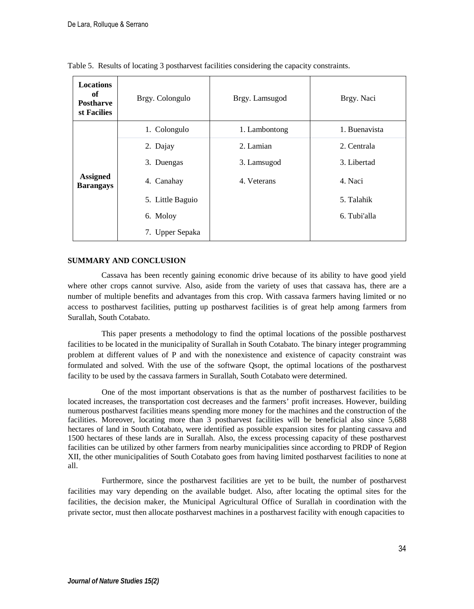| <b>Locations</b><br>of<br><b>Postharve</b><br>st Facilies | Brgy. Colongulo  | Brgy. Lamsugod | Brgy. Naci    |
|-----------------------------------------------------------|------------------|----------------|---------------|
|                                                           | 1. Colongulo     | 1. Lambontong  | 1. Buenavista |
|                                                           | 2. Dajay         | 2. Lamian      | 2. Centrala   |
|                                                           | 3. Duengas       | 3. Lamsugod    | 3. Libertad   |
| <b>Assigned</b><br><b>Barangays</b>                       | Canahay<br>4.    | 4. Veterans    | 4. Naci       |
|                                                           | 5. Little Baguio |                | 5. Talahik    |
|                                                           | 6. Moloy         |                | 6. Tubi'alla  |
|                                                           | 7. Upper Sepaka  |                |               |

Table 5. Results of locating 3 postharvest facilities considering the capacity constraints.

# **SUMMARY AND CONCLUSION**

Cassava has been recently gaining economic drive because of its ability to have good yield where other crops cannot survive. Also, aside from the variety of uses that cassava has, there are a number of multiple benefits and advantages from this crop. With cassava farmers having limited or no access to postharvest facilities, putting up postharvest facilities is of great help among farmers from Surallah, South Cotabato.

This paper presents a methodology to find the optimal locations of the possible postharvest facilities to be located in the municipality of Surallah in South Cotabato. The binary integer programming problem at different values of P and with the nonexistence and existence of capacity constraint was formulated and solved. With the use of the software Qsopt, the optimal locations of the postharvest facility to be used by the cassava farmers in Surallah, South Cotabato were determined.

One of the most important observations is that as the number of postharvest facilities to be located increases, the transportation cost decreases and the farmers' profit increases. However, building numerous postharvest facilities means spending more money for the machines and the construction of the facilities. Moreover, locating more than 3 postharvest facilities will be beneficial also since 5,688 hectares of land in South Cotabato, were identified as possible expansion sites for planting cassava and 1500 hectares of these lands are in Surallah. Also, the excess processing capacity of these postharvest facilities can be utilized by other farmers from nearby municipalities since according to PRDP of Region XII, the other municipalities of South Cotabato goes from having limited postharvest facilities to none at all.

Furthermore, since the postharvest facilities are yet to be built, the number of postharvest facilities may vary depending on the available budget. Also, after locating the optimal sites for the facilities, the decision maker, the Municipal Agricultural Office of Surallah in coordination with the private sector, must then allocate postharvest machines in a postharvest facility with enough capacities to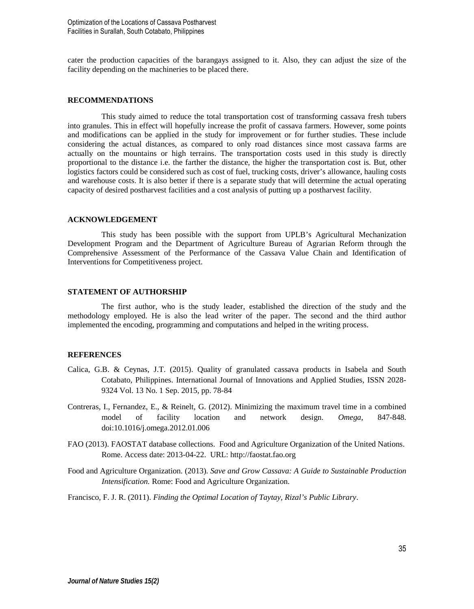cater the production capacities of the barangays assigned to it. Also, they can adjust the size of the facility depending on the machineries to be placed there.

# **RECOMMENDATIONS**

This study aimed to reduce the total transportation cost of transforming cassava fresh tubers into granules. This in effect will hopefully increase the profit of cassava farmers. However, some points and modifications can be applied in the study for improvement or for further studies. These include considering the actual distances, as compared to only road distances since most cassava farms are actually on the mountains or high terrains. The transportation costs used in this study is directly proportional to the distance i.e. the farther the distance, the higher the transportation cost is. But, other logistics factors could be considered such as cost of fuel, trucking costs, driver's allowance, hauling costs and warehouse costs. It is also better if there is a separate study that will determine the actual operating capacity of desired postharvest facilities and a cost analysis of putting up a postharvest facility.

#### **ACKNOWLEDGEMENT**

This study has been possible with the support from UPLB's Agricultural Mechanization Development Program and the Department of Agriculture Bureau of Agrarian Reform through the Comprehensive Assessment of the Performance of the Cassava Value Chain and Identification of Interventions for Competitiveness project.

### **STATEMENT OF AUTHORSHIP**

The first author, who is the study leader, established the direction of the study and the methodology employed. He is also the lead writer of the paper. The second and the third author implemented the encoding, programming and computations and helped in the writing process.

## **REFERENCES**

- Calica, G.B. & Ceynas, J.T. (2015). Quality of granulated cassava products in Isabela and South Cotabato, Philippines. International Journal of Innovations and Applied Studies, ISSN 2028- 9324 Vol. 13 No. 1 Sep. 2015, pp. 78-84
- Contreras, I., Fernandez, E., & Reinelt, G. (2012). Minimizing the maximum travel time in a combined model of facility location and network design. *Omega*, 847-848. doi:10.1016/j.omega.2012.01.006
- FAO (2013). FAOSTAT database collections. Food and Agriculture Organization of the United Nations. Rome. Access date: 2013-04-22. URL: http://faostat.fao.org
- Food and Agriculture Organization. (2013). *Save and Grow Cassava: A Guide to Sustainable Production Intensification.* Rome: Food and Agriculture Organization.

Francisco, F. J. R. (2011). *Finding the Optimal Location of Taytay, Rizal's Public Library*.